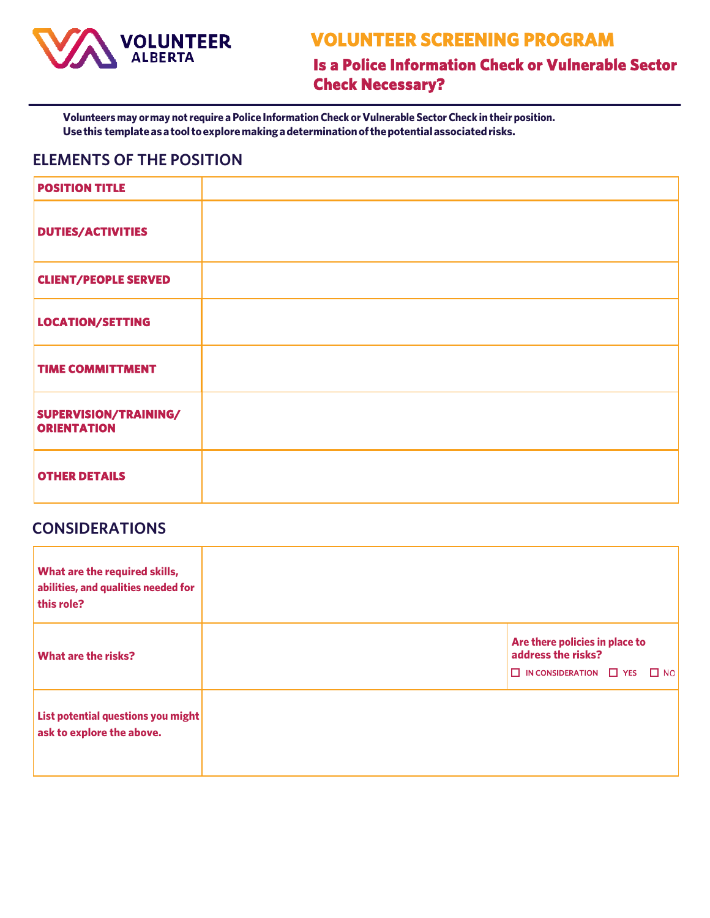

# **VOLUNTEER SCREENING PROGRAM**

**Is a Police Information Check or Vulnerable Sector Check Necessary?** 

**Volunteers may ormay notrequire a Police Information Check orVulnerable Sector Check in their position. Usethis templateasatooltoexploremakingadeterminationofthepotentialassociatedrisks.**

### **ELEMENTS OF THE POSITION**

| <b>POSITION TITLE</b>                       |  |
|---------------------------------------------|--|
| <b>DUTIES/ACTIVITIES</b>                    |  |
| <b>CLIENT/PEOPLE SERVED</b>                 |  |
| LOCATION/SETTING                            |  |
| <b>TIME COMMITTMENT</b>                     |  |
| SUPERVISION/TRAINING/<br><b>ORIENTATION</b> |  |
| <b>OTHER DETAILS</b>                        |  |

| What are the required skills,<br>abilities, and qualities needed for<br>this role? |                                                                                                         |
|------------------------------------------------------------------------------------|---------------------------------------------------------------------------------------------------------|
| <b>What are the risks?</b>                                                         | Are there policies in place to<br>address the risks?<br>$\Box$ IN CONSIDERATION $\Box$ YES<br>$\Box$ NO |
| List potential questions you might<br>ask to explore the above.                    |                                                                                                         |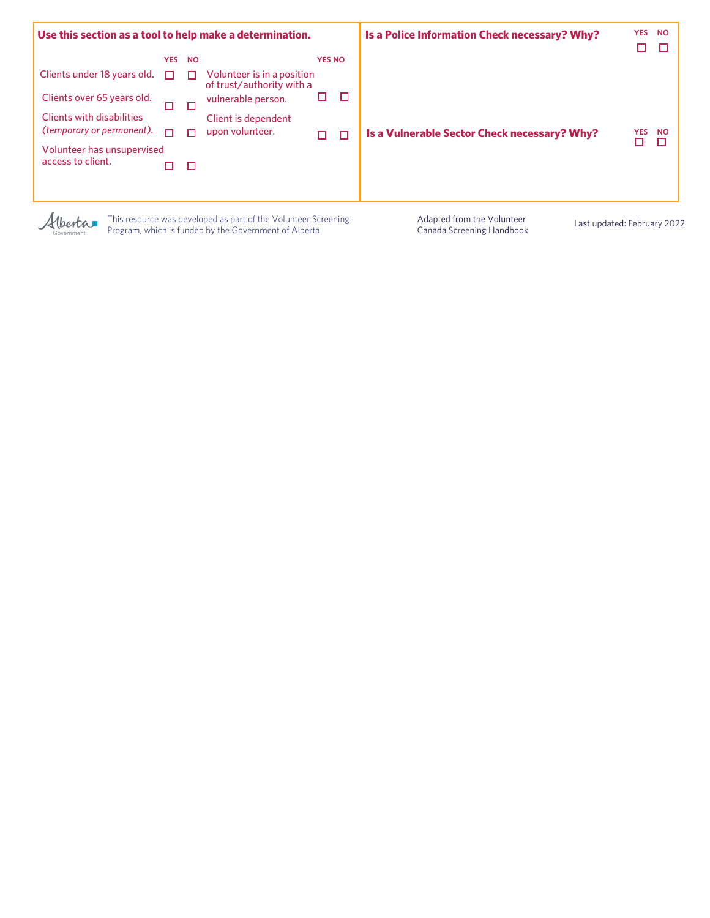| Use this section as a tool to help make a determination. |            |           |                                                         |               |   | Is a Police Information Check necessary? Why? | <b>YES</b><br>П | <b>NO</b> |
|----------------------------------------------------------|------------|-----------|---------------------------------------------------------|---------------|---|-----------------------------------------------|-----------------|-----------|
|                                                          | <b>YES</b> | <b>NO</b> |                                                         | <b>YES NO</b> |   |                                               |                 |           |
| Clients under 18 years old.                              |            | ш         | Volunteer is in a position<br>of trust/authority with a |               |   |                                               |                 |           |
| Clients over 65 years old.                               | п          | Л         | vulnerable person.                                      |               | П |                                               |                 |           |
| <b>Clients with disabilities</b>                         |            |           | Client is dependent                                     |               |   |                                               |                 |           |
| (temporary or permanent).                                |            |           | upon volunteer.                                         | п             | П | Is a Vulnerable Sector Check necessary? Why?  | <b>YES</b>      | <b>NO</b> |
| Volunteer has unsupervised<br>access to client.          |            | П         |                                                         |               |   |                                               |                 |           |
|                                                          |            |           |                                                         |               |   |                                               |                 |           |

Alberta

This resource was developed as part of the Volunteer Screening Program, which is funded by the Government of Alberta

Adapted from the Volunteer Canada Screening Handbook Last updated: February 2022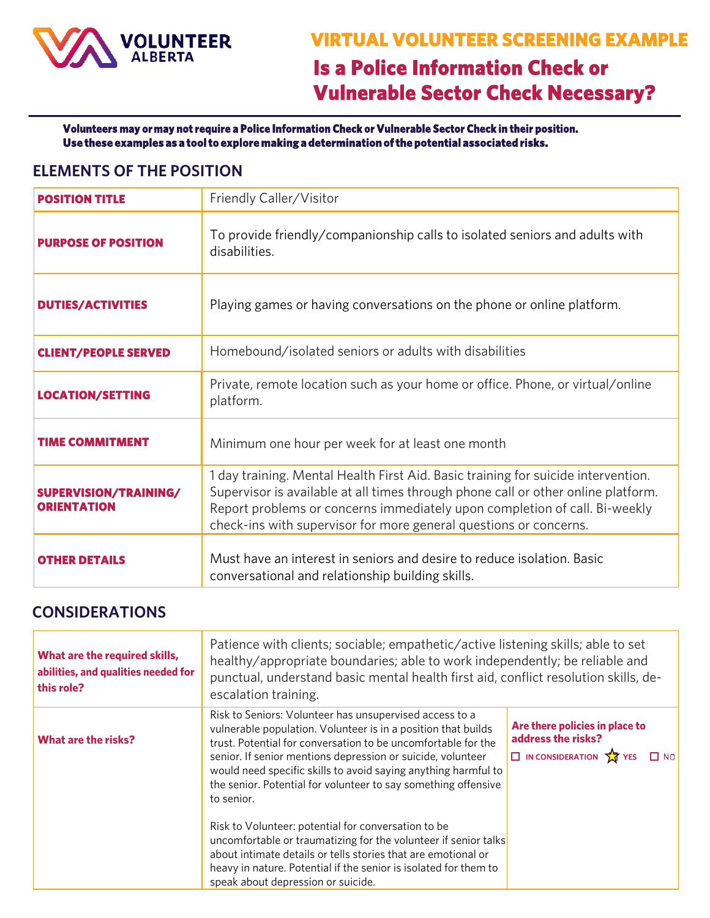

**Volunteers may or may not require a Police Information Check or Vulnerable Sector Check in their position. Use these examples as a tool to explore making a determination of the potential associated risks.** 

## **ELEMENTS OF THE POSITION**

| <b>POSITION TITLE</b>                       | Friendly Caller/Visitor                                                                                                                                                                                                                                                                                                   |  |  |
|---------------------------------------------|---------------------------------------------------------------------------------------------------------------------------------------------------------------------------------------------------------------------------------------------------------------------------------------------------------------------------|--|--|
| <b>PURPOSE OF POSITION</b>                  | To provide friendly/companionship calls to isolated seniors and adults with<br>disabilities.                                                                                                                                                                                                                              |  |  |
| <b>DUTIES/ACTIVITIES</b>                    | Playing games or having conversations on the phone or online platform.                                                                                                                                                                                                                                                    |  |  |
| <b>CLIENT/PEOPLE SERVED</b>                 | Homebound/isolated seniors or adults with disabilities                                                                                                                                                                                                                                                                    |  |  |
| <b>LOCATION/SETTING</b>                     | Private, remote location such as your home or office. Phone, or virtual/online<br>platform.                                                                                                                                                                                                                               |  |  |
| <b>TIME COMMITMENT</b>                      | Minimum one hour per week for at least one month                                                                                                                                                                                                                                                                          |  |  |
| SUPERVISION/TRAINING/<br><b>ORIENTATION</b> | 1 day training. Mental Health First Aid. Basic training for suicide intervention.<br>Supervisor is available at all times through phone call or other online platform.<br>Report problems or concerns immediately upon completion of call. Bi-weekly<br>check-ins with supervisor for more general questions or concerns. |  |  |
| <b>OTHER DETAILS</b>                        | Must have an interest in seniors and desire to reduce isolation. Basic<br>conversational and relationship building skills.                                                                                                                                                                                                |  |  |

| What are the required skills,<br>abilities, and qualities needed for<br>this role? | Patience with clients; sociable; empathetic/active listening skills; able to set<br>healthy/appropriate boundaries; able to work independently; be reliable and<br>punctual, understand basic mental health first aid, conflict resolution skills, de-<br>escalation training.                                                                                                                                                                                                                                                                                                                                                                                                                                  |                                                                                                                    |  |
|------------------------------------------------------------------------------------|-----------------------------------------------------------------------------------------------------------------------------------------------------------------------------------------------------------------------------------------------------------------------------------------------------------------------------------------------------------------------------------------------------------------------------------------------------------------------------------------------------------------------------------------------------------------------------------------------------------------------------------------------------------------------------------------------------------------|--------------------------------------------------------------------------------------------------------------------|--|
| What are the risks?                                                                | Risk to Seniors: Volunteer has unsupervised access to a<br>vulnerable population. Volunteer is in a position that builds<br>trust. Potential for conversation to be uncomfortable for the<br>senior. If senior mentions depression or suicide, volunteer<br>would need specific skills to avoid saying anything harmful to<br>the senior. Potential for volunteer to say something offensive<br>to senior.<br>Risk to Volunteer: potential for conversation to be<br>uncomfortable or traumatizing for the volunteer if senior talks<br>about intimate details or tells stories that are emotional or<br>heavy in nature. Potential if the senior is isolated for them to<br>speak about depression or suicide. | Are there policies in place to<br>address the risks?<br>$\Box$ IN CONSIDERATION $\sqrt{\sqrt{x}}$ YES<br>$\Box$ NO |  |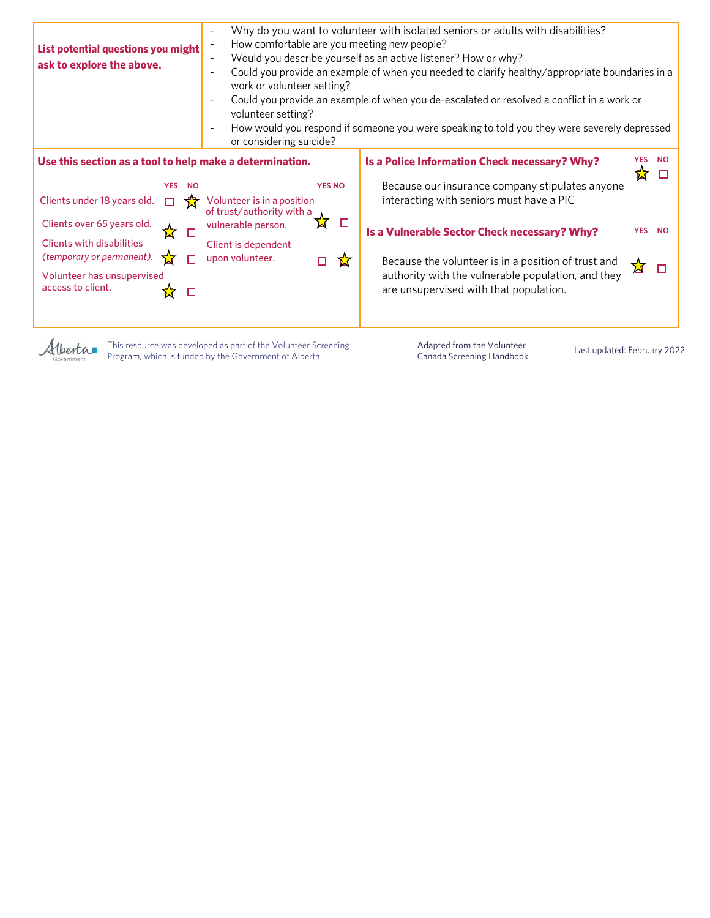| List potential questions you might<br>ask to explore the above.<br>work or volunteer setting?<br>volunteer setting?<br>or considering suicide?                                                                                                                                                                                                                                                                                                 | Why do you want to volunteer with isolated seniors or adults with disabilities?<br>How comfortable are you meeting new people?<br>Would you describe yourself as an active listener? How or why?<br>Could you provide an example of when you needed to clarify healthy/appropriate boundaries in a<br>Could you provide an example of when you de-escalated or resolved a conflict in a work or<br>How would you respond if someone you were speaking to told you they were severely depressed |  |  |
|------------------------------------------------------------------------------------------------------------------------------------------------------------------------------------------------------------------------------------------------------------------------------------------------------------------------------------------------------------------------------------------------------------------------------------------------|------------------------------------------------------------------------------------------------------------------------------------------------------------------------------------------------------------------------------------------------------------------------------------------------------------------------------------------------------------------------------------------------------------------------------------------------------------------------------------------------|--|--|
| Use this section as a tool to help make a determination.<br><b>YES NO</b><br><b>YES</b><br>- NO<br>Clients under 18 years old.<br>Volunteer is in a position<br>of trust/authority with a<br>N<br>□<br>Clients over 65 years old.<br>vulnerable person.<br>□<br><b>Clients with disabilities</b><br>Client is dependent<br>(temporary or permanent).<br>upon volunteer.<br>п<br>囟<br>П<br>Volunteer has unsupervised<br>access to client.<br>□ | Is a Police Information Check necessary? Why?<br><b>YES</b><br><b>NO</b><br>Because our insurance company stipulates anyone<br>interacting with seniors must have a PIC<br>YES NO<br>Is a Vulnerable Sector Check necessary? Why?<br>Because the volunteer is in a position of trust and<br>∡ਸ<br>□<br>authority with the vulnerable population, and they<br>are unsupervised with that population.                                                                                            |  |  |

This resource was developed as part of the Volunteer Screening Alberta Program, which is funded by the Government of Alberta

rnment

Adapted from the Volunteer Adapted from the Volunteer<br>Canada Screening Handbook Last updated: February 2022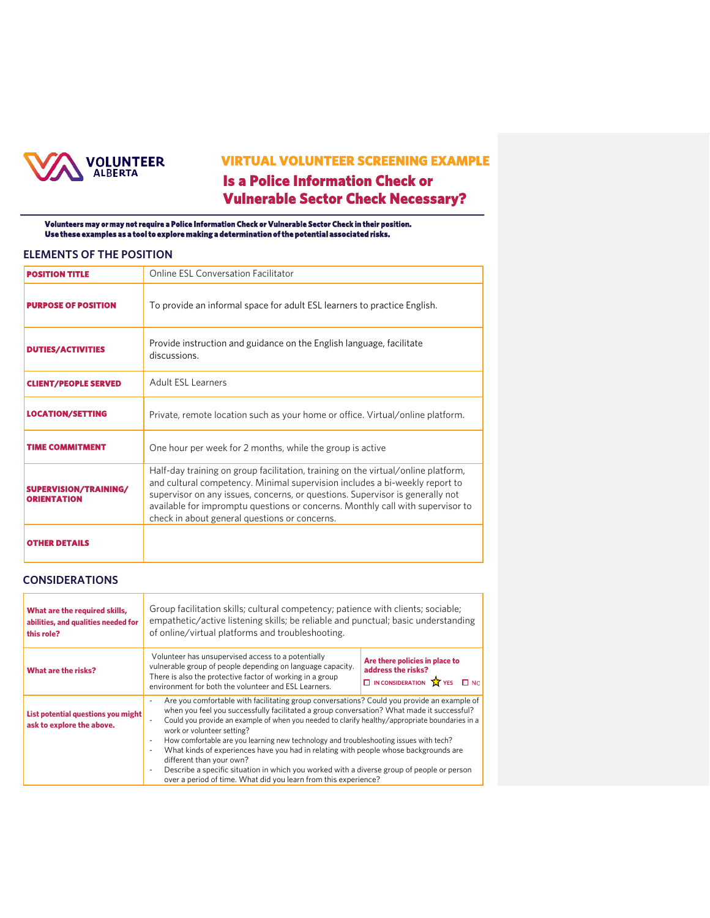

# **VIRTUAL VOLUNTEER SCREENING EXAMPLE Is a Police Information Check or Vulnerable Sector Check Necessary?**

**Volunteers may or may not require a Police Information Check or Vulnerable Sector Check in their position. Use these examples as a tool to explore making a determination of the potential associated risks.** 

#### **ELEMENTS OF THE POSITION**

| <b>POSITION TITLE</b>                       | Online ESL Conversation Facilitator                                                                                                                                                                                                                                                                                                                                                  |  |  |
|---------------------------------------------|--------------------------------------------------------------------------------------------------------------------------------------------------------------------------------------------------------------------------------------------------------------------------------------------------------------------------------------------------------------------------------------|--|--|
| <b>PURPOSE OF POSITION</b>                  | To provide an informal space for adult ESL learners to practice English.                                                                                                                                                                                                                                                                                                             |  |  |
| <b>DUTIES/ACTIVITIES</b>                    | Provide instruction and guidance on the English language, facilitate<br>discussions.                                                                                                                                                                                                                                                                                                 |  |  |
| <b>CLIENT/PEOPLE SERVED</b>                 | Adult ESL Learners                                                                                                                                                                                                                                                                                                                                                                   |  |  |
| <b>LOCATION/SETTING</b>                     | Private, remote location such as your home or office. Virtual/online platform.                                                                                                                                                                                                                                                                                                       |  |  |
| <b>TIME COMMITMENT</b>                      | One hour per week for 2 months, while the group is active                                                                                                                                                                                                                                                                                                                            |  |  |
| SUPERVISION/TRAINING/<br><b>ORIENTATION</b> | Half-day training on group facilitation, training on the virtual/online platform,<br>and cultural competency. Minimal supervision includes a bi-weekly report to<br>supervisor on any issues, concerns, or questions. Supervisor is generally not<br>available for impromptu questions or concerns. Monthly call with supervisor to<br>check in about general questions or concerns. |  |  |
| <b>OTHER DETAILS</b>                        |                                                                                                                                                                                                                                                                                                                                                                                      |  |  |

| What are the required skills,<br>abilities, and qualities needed for<br>this role? | Group facilitation skills; cultural competency; patience with clients; sociable;<br>empathetic/active listening skills; be reliable and punctual; basic understanding<br>of online/virtual platforms and troubleshooting.                                                                                                                                                                                                                                                                                                                                                                                                                                                                             |                                                                                                                 |  |
|------------------------------------------------------------------------------------|-------------------------------------------------------------------------------------------------------------------------------------------------------------------------------------------------------------------------------------------------------------------------------------------------------------------------------------------------------------------------------------------------------------------------------------------------------------------------------------------------------------------------------------------------------------------------------------------------------------------------------------------------------------------------------------------------------|-----------------------------------------------------------------------------------------------------------------|--|
| What are the risks?                                                                | Volunteer has unsupervised access to a potentially<br>vulnerable group of people depending on language capacity.<br>There is also the protective factor of working in a group<br>environment for both the volunteer and ESL Learners.                                                                                                                                                                                                                                                                                                                                                                                                                                                                 | Are there policies in place to<br>address the risks?<br>$\Box$ IN CONSIDERATION $\sqrt{\sqrt{x}}$ YES $\Box$ NO |  |
| List potential questions you might<br>ask to explore the above.                    | Are you comfortable with facilitating group conversations? Could you provide an example of<br>when you feel you successfully facilitated a group conversation? What made it successful?<br>Could you provide an example of when you needed to clarify healthy/appropriate boundaries in a<br>work or volunteer setting?<br>How comfortable are you learning new technology and troubleshooting issues with tech?<br>What kinds of experiences have you had in relating with people whose backgrounds are<br>different than your own?<br>Describe a specific situation in which you worked with a diverse group of people or person<br>over a period of time. What did you learn from this experience? |                                                                                                                 |  |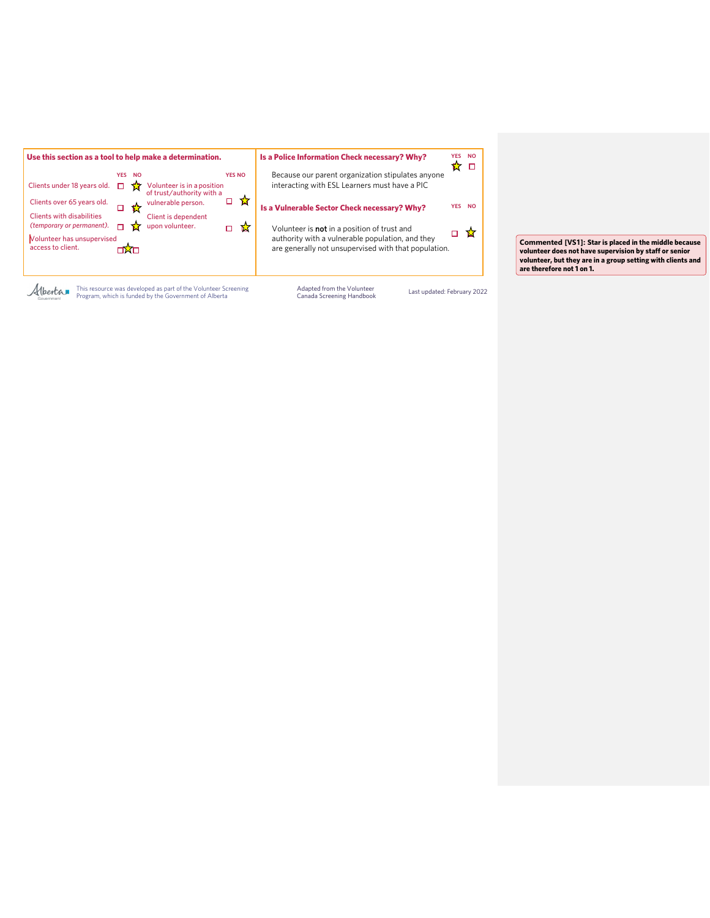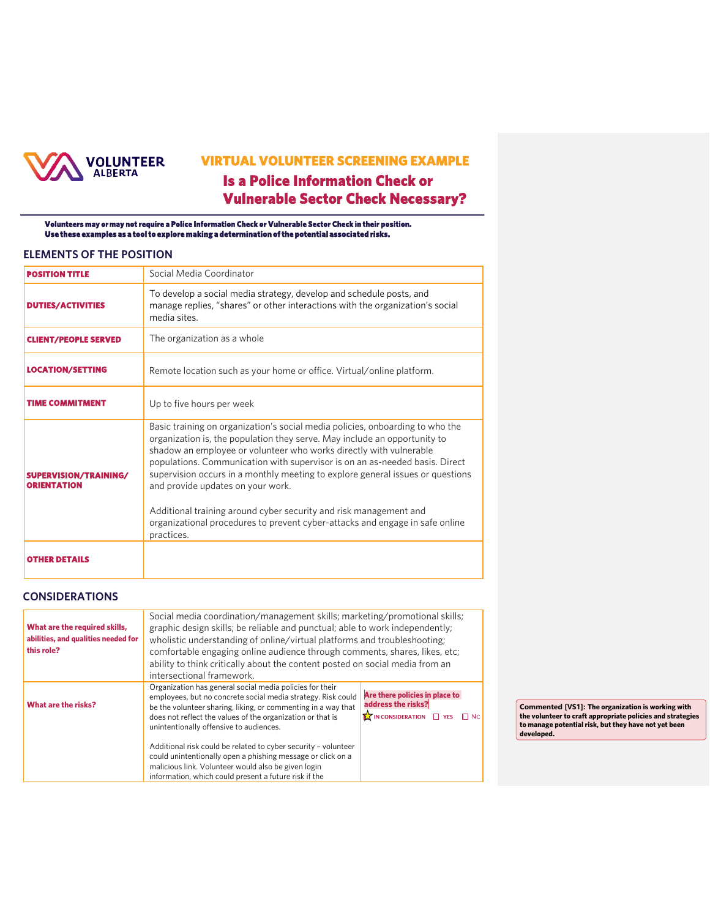

# **VIRTUAL VOLUNTEER SCREENING EXAMPLE Is a Police Information Check or Vulnerable Sector Check Necessary?**

**Volunteers may or may not require a Police Information Check or Vulnerable Sector Check in their position. Use these examples as a tool to explore making a determination of the potential associated risks.** 

#### **ELEMENTS OF THE POSITION**

| <b>POSITION TITLE</b>                       | Social Media Coordinator                                                                                                                                                                                                                                                                                                                                                                                                                                                                                    |  |  |
|---------------------------------------------|-------------------------------------------------------------------------------------------------------------------------------------------------------------------------------------------------------------------------------------------------------------------------------------------------------------------------------------------------------------------------------------------------------------------------------------------------------------------------------------------------------------|--|--|
| <b>DUTIES/ACTIVITIES</b>                    | To develop a social media strategy, develop and schedule posts, and<br>manage replies, "shares" or other interactions with the organization's social<br>media sites.                                                                                                                                                                                                                                                                                                                                        |  |  |
| <b>CLIENT/PEOPLE SERVED</b>                 | The organization as a whole                                                                                                                                                                                                                                                                                                                                                                                                                                                                                 |  |  |
| <b>LOCATION/SETTING</b>                     | Remote location such as your home or office. Virtual/online platform.                                                                                                                                                                                                                                                                                                                                                                                                                                       |  |  |
| <b>TIME COMMITMENT</b>                      | Up to five hours per week                                                                                                                                                                                                                                                                                                                                                                                                                                                                                   |  |  |
| SUPERVISION/TRAINING/<br><b>ORIENTATION</b> | Basic training on organization's social media policies, onboarding to who the<br>organization is, the population they serve. May include an opportunity to<br>shadow an employee or volunteer who works directly with vulnerable<br>populations. Communication with supervisor is on an as-needed basis. Direct<br>supervision occurs in a monthly meeting to explore general issues or questions<br>and provide updates on your work.<br>Additional training around cyber security and risk management and |  |  |
|                                             | organizational procedures to prevent cyber-attacks and engage in safe online<br>practices.                                                                                                                                                                                                                                                                                                                                                                                                                  |  |  |
|                                             |                                                                                                                                                                                                                                                                                                                                                                                                                                                                                                             |  |  |

| What are the required skills,<br>abilities, and qualities needed for<br>this role? | Social media coordination/management skills; marketing/promotional skills;<br>graphic design skills; be reliable and punctual; able to work independently;<br>wholistic understanding of online/virtual platforms and troubleshooting;<br>comfortable engaging online audience through comments, shares, likes, etc;<br>ability to think critically about the content posted on social media from an<br>intersectional framework. |                                                                                               |                                                                                                                                                                                       |
|------------------------------------------------------------------------------------|-----------------------------------------------------------------------------------------------------------------------------------------------------------------------------------------------------------------------------------------------------------------------------------------------------------------------------------------------------------------------------------------------------------------------------------|-----------------------------------------------------------------------------------------------|---------------------------------------------------------------------------------------------------------------------------------------------------------------------------------------|
| What are the risks?                                                                | Organization has general social media policies for their<br>employees, but no concrete social media strategy. Risk could<br>be the volunteer sharing, liking, or commenting in a way that<br>does not reflect the values of the organization or that is<br>unintentionally offensive to audiences.                                                                                                                                | Are there policies in place to<br>address the risks?<br>IN CONSIDERATION $\Box$ YES $\Box$ NO | Commented [VS1]: The organization is working with<br>the volunteer to craft appropriate policies and strategies<br>to manage potential risk, but they have not yet been<br>developed. |
|                                                                                    | Additional risk could be related to cyber security - volunteer<br>could unintentionally open a phishing message or click on a<br>malicious link. Volunteer would also be given login<br>information, which could present a future risk if the                                                                                                                                                                                     |                                                                                               |                                                                                                                                                                                       |